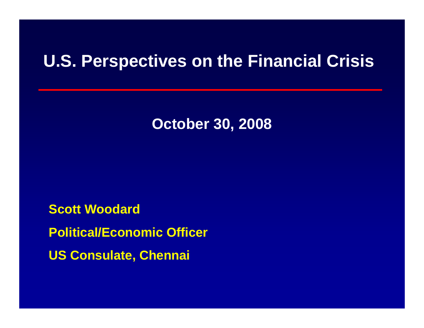**October 30, 2008**

**Scott WoodardPolitical/Economic Officer US Consulate, Chennai**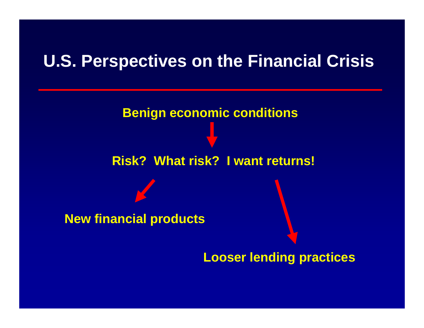**Benign economic conditions**

#### **Risk? What risk? I want returns!**

**New financial products**

**Looser lending practices**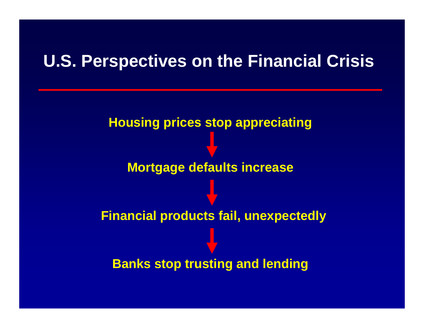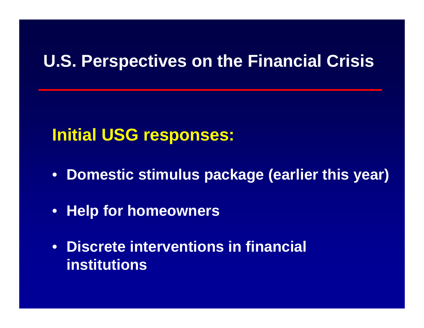### **Initial USG responses:**

- **Domestic stimulus package (earlier this year)**
- **Help for homeowners**
- **Discrete interventions in financial institutions**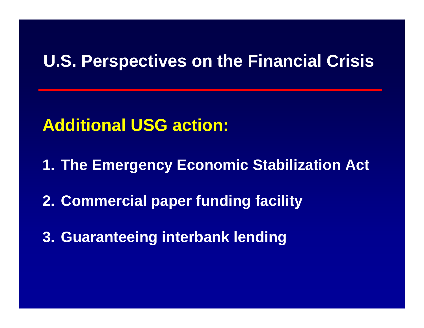## **Additional USG action:**

**1. The Emergency Economic Stabilization Act**

**2. Commercial paper funding facility**

**3. Guaranteeing interbank lending**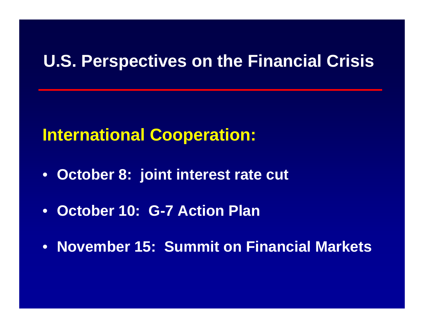## **International Cooperation:**

- **October 8: joint interest rate cut**
- **October 10: G-7 Action Plan**
- **November 15: Summit on Financial Markets**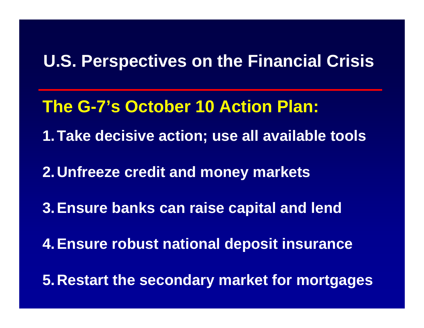**The G-7's October 10 Action Plan:**

**1.Take decisive action; use all available tools**

**2.Unfreeze credit and money markets** 

**3.Ensure banks can raise capital and lend**

**4.Ensure robust national deposit insurance**

**5.Restart the secondary market for mortgages**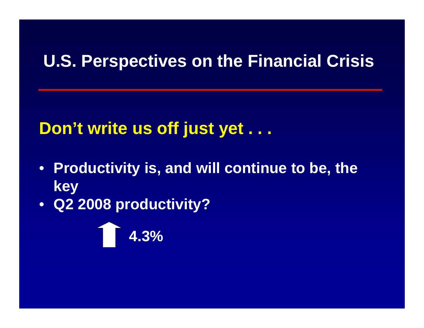# **Don't write us off just yet . . .**

- **Productivity is, and will continue to be, the key**
- **Q2 2008 productivity?**

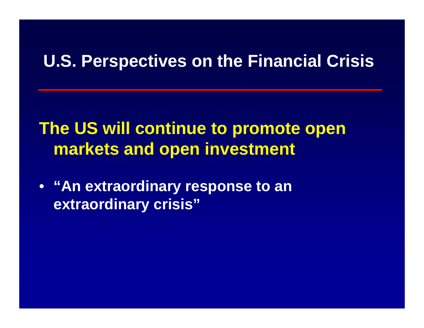# **The US will continue to promote open markets and open investment**

• **"An extraordinary response to an extraordinary crisis"**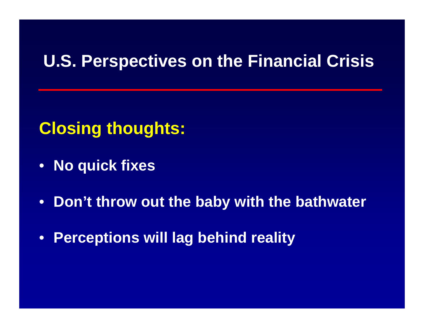# **Closing thoughts:**

- **No quick fixes**
- $\bullet$ **Don't throw out the baby with the bathwater**
- **Perceptions will lag behind reality**